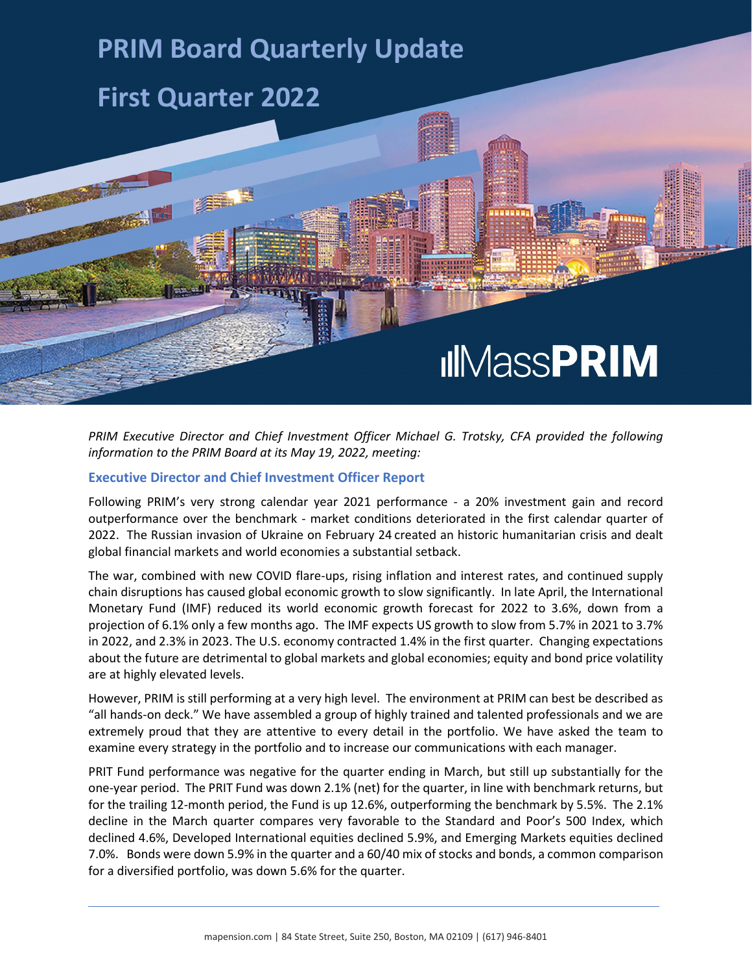## **PRIM Board Quarterly Update**

## **First Quarter 2022**

# **IIIMassPRIM**

*PRIM Executive Director and Chief Investment Officer Michael G. Trotsky, CFA provided the following information to the PRIM Board at its May 19, 2022, meeting:*

#### **Executive Director and Chief Investment Officer Report**

Following PRIM's very strong calendar year 2021 performance - a 20% investment gain and record outperformance over the benchmark - market conditions deteriorated in the first calendar quarter of 2022. The Russian invasion of Ukraine on February 24 created an historic humanitarian crisis and dealt global financial markets and world economies a substantial setback.

The war, combined with new COVID flare-ups, rising inflation and interest rates, and continued supply chain disruptions has caused global economic growth to slow significantly. In late April, the International Monetary Fund (IMF) reduced its world economic growth forecast for 2022 to 3.6%, down from a projection of 6.1% only a few months ago. The IMF expects US growth to slow from 5.7% in 2021 to 3.7% in 2022, and 2.3% in 2023. The U.S. economy contracted 1.4% in the first quarter. Changing expectations about the future are detrimental to global markets and global economies; equity and bond price volatility are at highly elevated levels.

However, PRIM is still performing at a very high level. The environment at PRIM can best be described as "all hands-on deck." We have assembled a group of highly trained and talented professionals and we are extremely proud that they are attentive to every detail in the portfolio. We have asked the team to examine every strategy in the portfolio and to increase our communications with each manager.

PRIT Fund performance was negative for the quarter ending in March, but still up substantially for the one-year period. The PRIT Fund was down 2.1% (net) for the quarter, in line with benchmark returns, but for the trailing 12-month period, the Fund is up 12.6%, outperforming the benchmark by 5.5%. The 2.1% decline in the March quarter compares very favorable to the Standard and Poor's 500 Index, which declined 4.6%, Developed International equities declined 5.9%, and Emerging Markets equities declined 7.0%. Bonds were down 5.9% in the quarter and a 60/40 mix of stocks and bonds, a common comparison for a diversified portfolio, was down 5.6% for the quarter.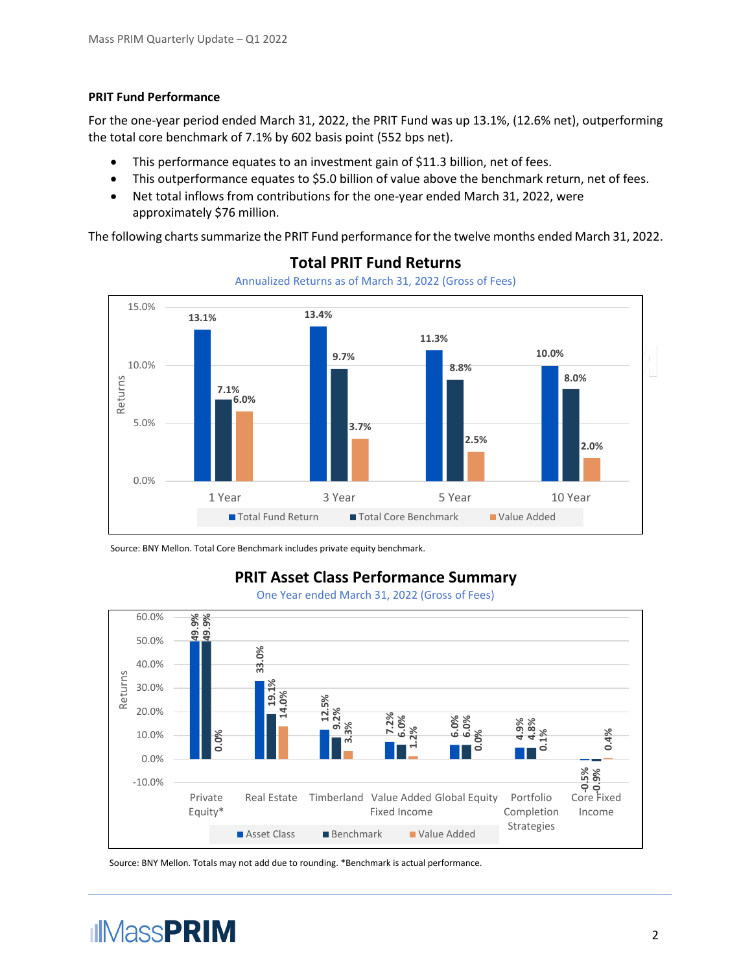#### **PRIT Fund Performance**

For the one-year period ended March 31, 2022, the PRIT Fund was up 13.1%, (12.6% net), outperforming the total core benchmark of 7.1% by 602 basis point (552 bps net).

- This performance equates to an investment gain of \$11.3 billion, net of fees.
- This outperformance equates to \$5.0 billion of value above the benchmark return, net of fees.
- Net total inflows from contributions for the one-year ended March 31, 2022, were approximately \$76 million.

The following charts summarize the PRIT Fund performance for the twelve months ended March 31, 2022.



#### **Total PRIT Fund Returns**

Annualized Returns as of March 31, 2022 (Gross of Fees)

Source: BNY Mellon. Total Core Benchmark includes private equity benchmark.

### **PRIT Asset Class Performance Summary**

One Year ended March 31, 2022 (Gross of Fees)



Source: BNY Mellon. Totals may not add due to rounding. \*Benchmark is actual performance.

# **IIMassPRIM**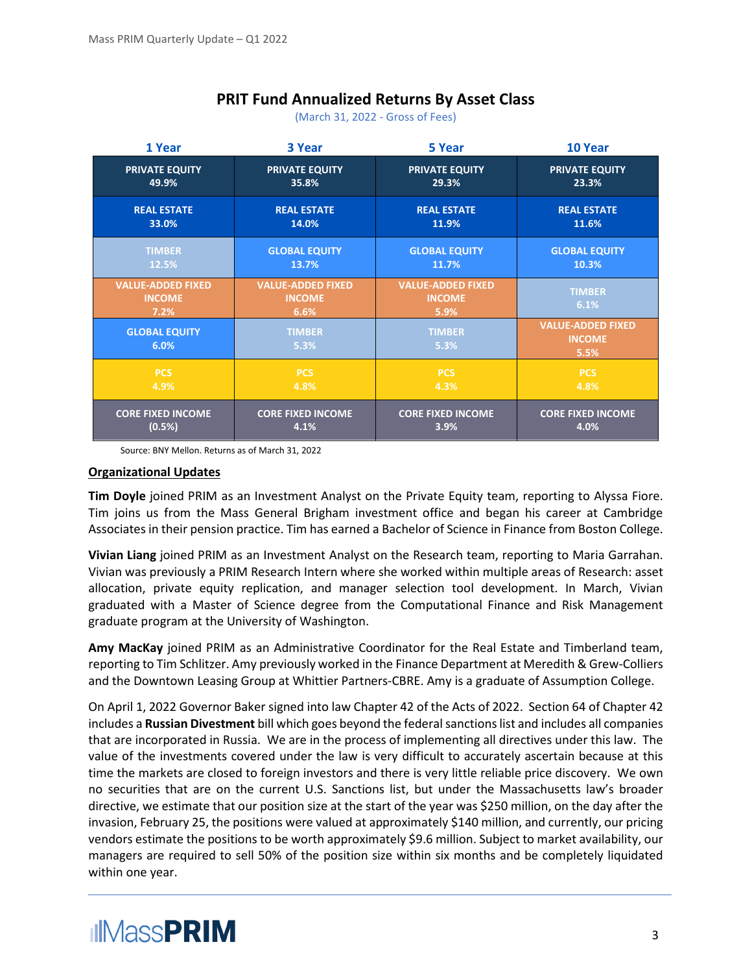## **PRIT Fund Annualized Returns By Asset Class**

(March 31, 2022 - Gross of Fees)

| 1 Year                                            | 3 Year                                            | 5 Year                                            | 10 Year                                           |
|---------------------------------------------------|---------------------------------------------------|---------------------------------------------------|---------------------------------------------------|
| <b>PRIVATE EQUITY</b>                             | <b>PRIVATE EQUITY</b>                             | <b>PRIVATE EQUITY</b>                             | <b>PRIVATE EQUITY</b>                             |
| 49.9%                                             | 35.8%                                             | 29.3%                                             | 23.3%                                             |
| <b>REAL ESTATE</b>                                | <b>REAL ESTATE</b>                                | <b>REAL ESTATE</b>                                | <b>REAL ESTATE</b>                                |
| 33.0%                                             | 14.0%                                             | 11.9%                                             | 11.6%                                             |
| <b>TIMBER</b>                                     | <b>GLOBAL EQUITY</b>                              | <b>GLOBAL EQUITY</b>                              | <b>GLOBAL EQUITY</b>                              |
| 12.5%                                             | 13.7%                                             | 11.7%                                             | 10.3%                                             |
| <b>VALUE-ADDED FIXED</b><br><b>INCOME</b><br>7.2% | <b>VALUE-ADDED FIXED</b><br><b>INCOME</b><br>6.6% | <b>VALUE-ADDED FIXED</b><br><b>INCOME</b><br>5.9% | <b>TIMBER</b><br>6.1%                             |
| <b>GLOBAL EQUITY</b><br>6.0%                      | <b>TIMBER</b><br>5.3%                             | <b>TIMBER</b><br>5.3%                             | <b>VALUE-ADDED FIXED</b><br><b>INCOME</b><br>5.5% |
| <b>PCS</b>                                        | <b>PCS</b>                                        | <b>PCS</b>                                        | <b>PCS</b>                                        |
| 4.9%                                              | 4.8%                                              | 4.3%                                              | 4.8%                                              |
| <b>CORE FIXED INCOME</b>                          | <b>CORE FIXED INCOME</b>                          | <b>CORE FIXED INCOME</b>                          | <b>CORE FIXED INCOME</b>                          |
| (0.5%)                                            | 4.1%                                              | 3.9%                                              | 4.0%                                              |

Source: BNY Mellon. Returns as of March 31, 2022

#### **Organizational Updates**

**Tim Doyle** joined PRIM as an Investment Analyst on the Private Equity team, reporting to Alyssa Fiore. Tim joins us from the Mass General Brigham investment office and began his career at Cambridge Associates in their pension practice. Tim has earned a Bachelor of Science in Finance from Boston College.

**Vivian Liang** joined PRIM as an Investment Analyst on the Research team, reporting to Maria Garrahan. Vivian was previously a PRIM Research Intern where she worked within multiple areas of Research: asset allocation, private equity replication, and manager selection tool development. In March, Vivian graduated with a Master of Science degree from the Computational Finance and Risk Management graduate program at the University of Washington.

**Amy MacKay** joined PRIM as an Administrative Coordinator for the Real Estate and Timberland team, reporting to Tim Schlitzer. Amy previously worked in the Finance Department at Meredith & Grew-Colliers and the Downtown Leasing Group at Whittier Partners-CBRE. Amy is a graduate of Assumption College.

On April 1, 2022 Governor Baker signed into law Chapter 42 of the Acts of 2022. Section 64 of Chapter 42 includes a **Russian Divestment** bill which goes beyond the federal sanctions list and includes all companies that are incorporated in Russia. We are in the process of implementing all directives under this law. The value of the investments covered under the law is very difficult to accurately ascertain because at this time the markets are closed to foreign investors and there is very little reliable price discovery. We own no securities that are on the current U.S. Sanctions list, but under the Massachusetts law's broader directive, we estimate that our position size at the start of the year was \$250 million, on the day after the invasion, February 25, the positions were valued at approximately \$140 million, and currently, our pricing vendors estimate the positions to be worth approximately \$9.6 million. Subject to market availability, our managers are required to sell 50% of the position size within six months and be completely liquidated within one year.

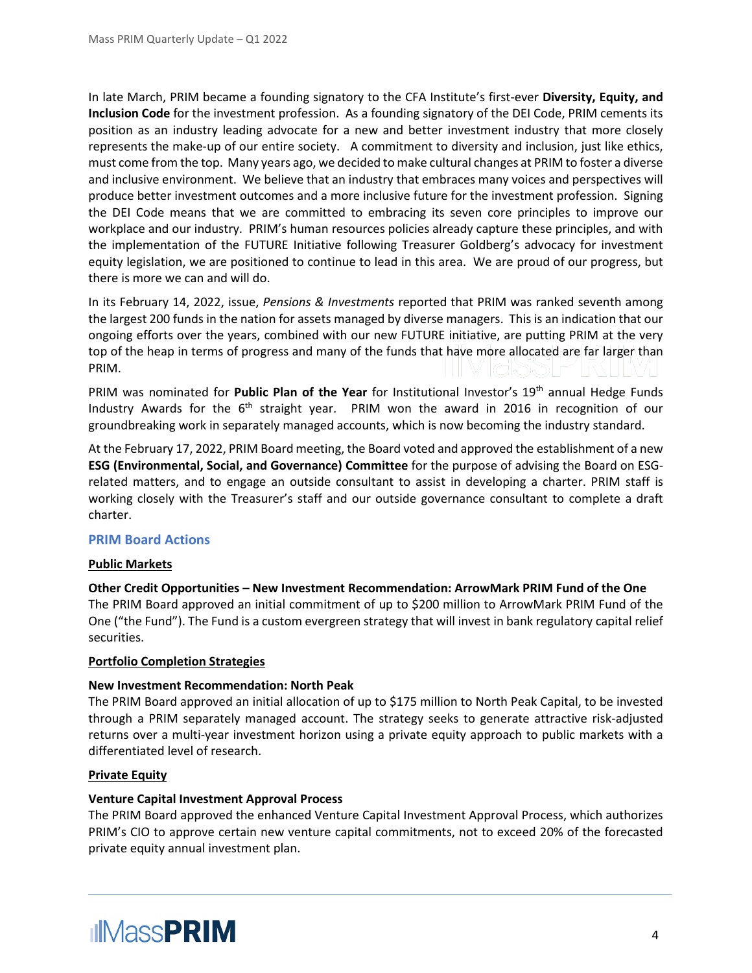In late March, PRIM became a founding signatory to the CFA Institute's first-ever **Diversity, Equity, and Inclusion Code** for the investment profession. As a founding signatory of the DEI Code, PRIM cements its position as an industry leading advocate for a new and better investment industry that more closely represents the make-up of our entire society. A commitment to diversity and inclusion, just like ethics, must come from the top. Many years ago, we decided to make cultural changes at PRIM to foster a diverse and inclusive environment. We believe that an industry that embraces many voices and perspectives will produce better investment outcomes and a more inclusive future for the investment profession. Signing the DEI Code means that we are committed to embracing its seven core principles to improve our workplace and our industry. PRIM's human resources policies already capture these principles, and with the implementation of the FUTURE Initiative following Treasurer Goldberg's advocacy for investment equity legislation, we are positioned to continue to lead in this area. We are proud of our progress, but there is more we can and will do.

In its February 14, 2022, issue, *Pensions & Investments* reported that PRIM was ranked seventh among the largest 200 funds in the nation for assets managed by diverse managers. This is an indication that our ongoing efforts over the years, combined with our new FUTURE initiative, are putting PRIM at the very top of the heap in terms of progress and many of the funds that have more allocated are far larger than PRIM.

PRIM was nominated for Public Plan of the Year for Institutional Investor's 19<sup>th</sup> annual Hedge Funds Industry Awards for the  $6<sup>th</sup>$  straight year. PRIM won the award in 2016 in recognition of our groundbreaking work in separately managed accounts, which is now becoming the industry standard.

At the February 17, 2022, PRIM Board meeting, the Board voted and approved the establishment of a new **ESG (Environmental, Social, and Governance) Committee** for the purpose of advising the Board on ESGrelated matters, and to engage an outside consultant to assist in developing a charter. PRIM staff is working closely with the Treasurer's staff and our outside governance consultant to complete a draft charter.

#### **PRIM Board Actions**

#### **Public Markets**

**Other Credit Opportunities – New Investment Recommendation: ArrowMark PRIM Fund of the One** The PRIM Board approved an initial commitment of up to \$200 million to ArrowMark PRIM Fund of the One ("the Fund"). The Fund is a custom evergreen strategy that will invest in bank regulatory capital relief securities.

#### **Portfolio Completion Strategies**

#### **New Investment Recommendation: North Peak**

The PRIM Board approved an initial allocation of up to \$175 million to North Peak Capital, to be invested through a PRIM separately managed account. The strategy seeks to generate attractive risk-adjusted returns over a multi-year investment horizon using a private equity approach to public markets with a differentiated level of research.

#### **Private Equity**

#### **Venture Capital Investment Approval Process**

The PRIM Board approved the enhanced Venture Capital Investment Approval Process, which authorizes PRIM's CIO to approve certain new venture capital commitments, not to exceed 20% of the forecasted private equity annual investment plan.

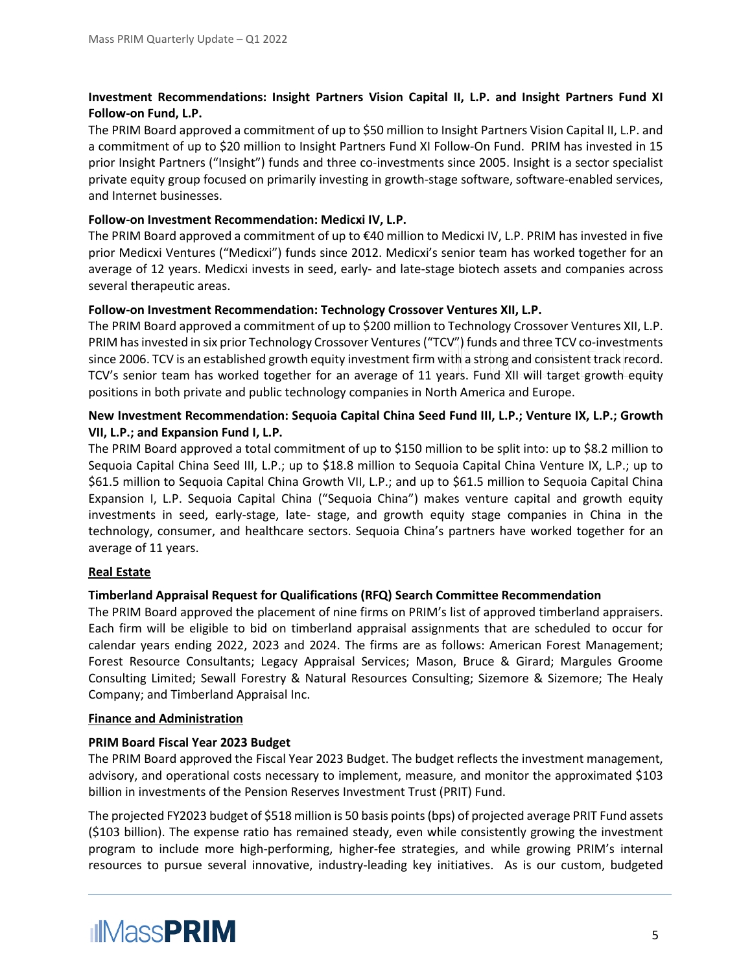#### **Investment Recommendations: Insight Partners Vision Capital II, L.P. and Insight Partners Fund XI Follow-on Fund, L.P.**

The PRIM Board approved a commitment of up to \$50 million to Insight Partners Vision Capital II, L.P. and a commitment of up to \$20 million to Insight Partners Fund XI Follow-On Fund. PRIM has invested in 15 prior Insight Partners ("Insight") funds and three co-investments since 2005. Insight is a sector specialist private equity group focused on primarily investing in growth-stage software, software-enabled services, and Internet businesses.

#### **Follow-on Investment Recommendation: Medicxi IV, L.P.**

The PRIM Board approved a commitment of up to €40 million to Medicxi IV, L.P. PRIM has invested in five prior Medicxi Ventures ("Medicxi") funds since 2012. Medicxi's senior team has worked together for an average of 12 years. Medicxi invests in seed, early- and late-stage biotech assets and companies across several therapeutic areas.

#### **Follow-on Investment Recommendation: Technology Crossover Ventures XII, L.P.**

The PRIM Board approved a commitment of up to \$200 million to Technology Crossover Ventures XII, L.P. PRIM has invested in six prior Technology Crossover Ventures ("TCV") funds and three TCV co-investments since 2006. TCV is an established growth equity investment firm with a strong and consistent track record. TCV's senior team has worked together for an average of 11 years. Fund XII will target growth equity positions in both private and public technology companies in North America and Europe.

#### **New Investment Recommendation: Sequoia Capital China Seed Fund III, L.P.; Venture IX, L.P.; Growth VII, L.P.; and Expansion Fund I, L.P.**

The PRIM Board approved a total commitment of up to \$150 million to be split into: up to \$8.2 million to Sequoia Capital China Seed III, L.P.; up to \$18.8 million to Sequoia Capital China Venture IX, L.P.; up to \$61.5 million to Sequoia Capital China Growth VII, L.P.; and up to \$61.5 million to Sequoia Capital China Expansion I, L.P. Sequoia Capital China ("Sequoia China") makes venture capital and growth equity investments in seed, early-stage, late- stage, and growth equity stage companies in China in the technology, consumer, and healthcare sectors. Sequoia China's partners have worked together for an average of 11 years.

#### **Real Estate**

#### **Timberland Appraisal Request for Qualifications (RFQ) Search Committee Recommendation**

The PRIM Board approved the placement of nine firms on PRIM's list of approved timberland appraisers. Each firm will be eligible to bid on timberland appraisal assignments that are scheduled to occur for calendar years ending 2022, 2023 and 2024. The firms are as follows: American Forest Management; Forest Resource Consultants; Legacy Appraisal Services; Mason, Bruce & Girard; Margules Groome Consulting Limited; Sewall Forestry & Natural Resources Consulting; Sizemore & Sizemore; The Healy Company; and Timberland Appraisal Inc.

#### **Finance and Administration**

#### **PRIM Board Fiscal Year 2023 Budget**

The PRIM Board approved the Fiscal Year 2023 Budget. The budget reflects the investment management, advisory, and operational costs necessary to implement, measure, and monitor the approximated \$103 billion in investments of the Pension Reserves Investment Trust (PRIT) Fund.

The projected FY2023 budget of \$518 million is 50 basis points (bps) of projected average PRIT Fund assets (\$103 billion). The expense ratio has remained steady, even while consistently growing the investment program to include more high-performing, higher-fee strategies, and while growing PRIM's internal resources to pursue several innovative, industry-leading key initiatives. As is our custom, budgeted